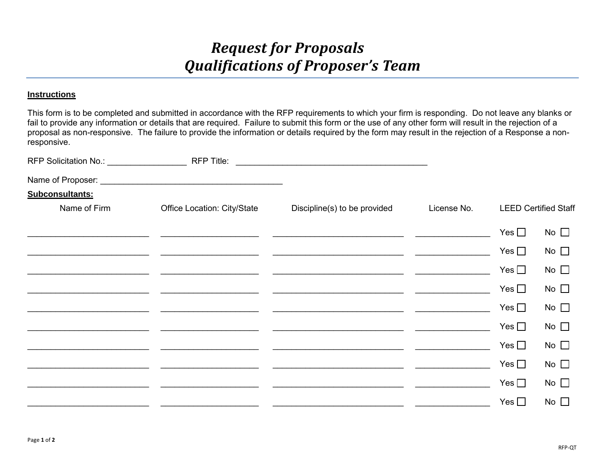## *Request for Proposals Qualifications of Proposer's Team*

## **Instructions**

This form is to be completed and submitted in accordance with the RFP requirements to which your firm is responding. Do not leave any blanks or fail to provide any information or details that are required. Failure to submit this form or the use of any other form will result in the rejection of a proposal as non-responsive. The failure to provide the information or details required by the form may result in the rejection of a Response a nonresponsive.

| Subconsultants: |                             |                              |             |                             |              |
|-----------------|-----------------------------|------------------------------|-------------|-----------------------------|--------------|
| Name of Firm    | Office Location: City/State | Discipline(s) to be provided | License No. | <b>LEED Certified Staff</b> |              |
|                 |                             |                              |             | Yes $\square$               | No $\square$ |
|                 |                             |                              |             | Yes $\square$               | No $\square$ |
|                 |                             |                              |             | Yes $\square$               | No $\square$ |
|                 |                             |                              |             | Yes $\square$               | No $\square$ |
|                 |                             |                              |             | Yes $\square$               | No $\square$ |
|                 |                             |                              |             | Yes $\square$               | No $\square$ |
|                 |                             |                              |             | Yes $\square$               | No $\square$ |
|                 |                             |                              |             | Yes $\square$               | No $\square$ |
|                 |                             |                              |             | Yes $\square$               | No $\square$ |
|                 |                             |                              |             | Yes $\square$               | No $\square$ |